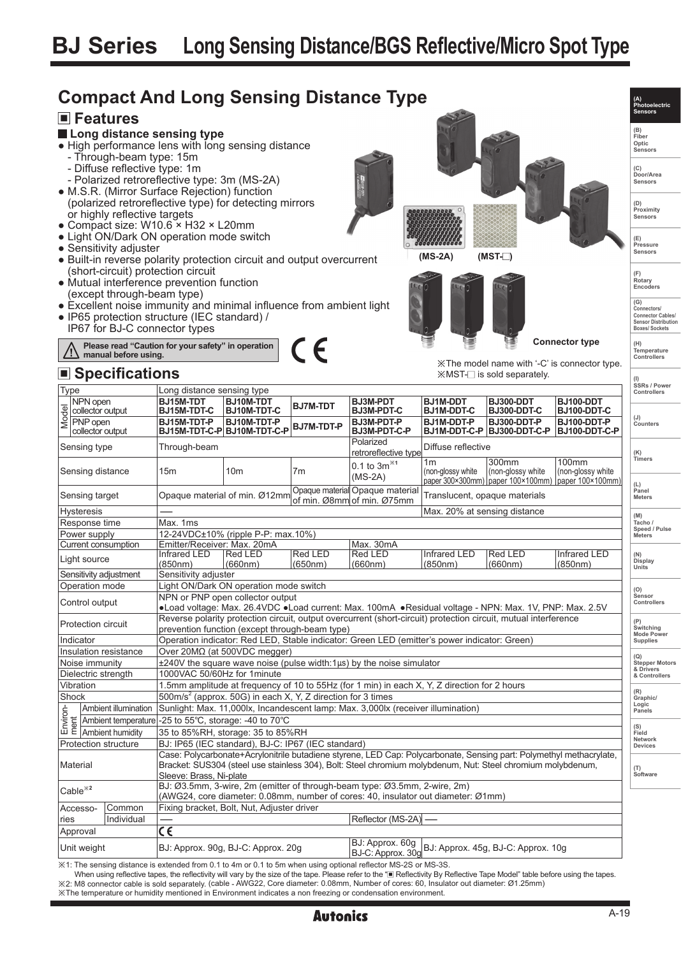# **BJ Series Long Sensing Distance/BGS Reflective/Micro Spot Type**



※1: The sensing distance is extended from 0.1 to 4m or 0.1 to 5m when using optional reflector MS-2S or MS-3S.

When using reflective tapes, the reflectivity will vary by the size of the tape. Please refer to the "I Reflectivity By Reflective Tape Model" table before using the tapes ※2: M8 connector cable is sold separately. (cable - AWG22, Core diameter: 0.08mm, Number of cores: 60, Insulator out diameter: Ø1.25mm) ※The temperature or humidity mentioned in Environment indicates a non freezing or condensation environment.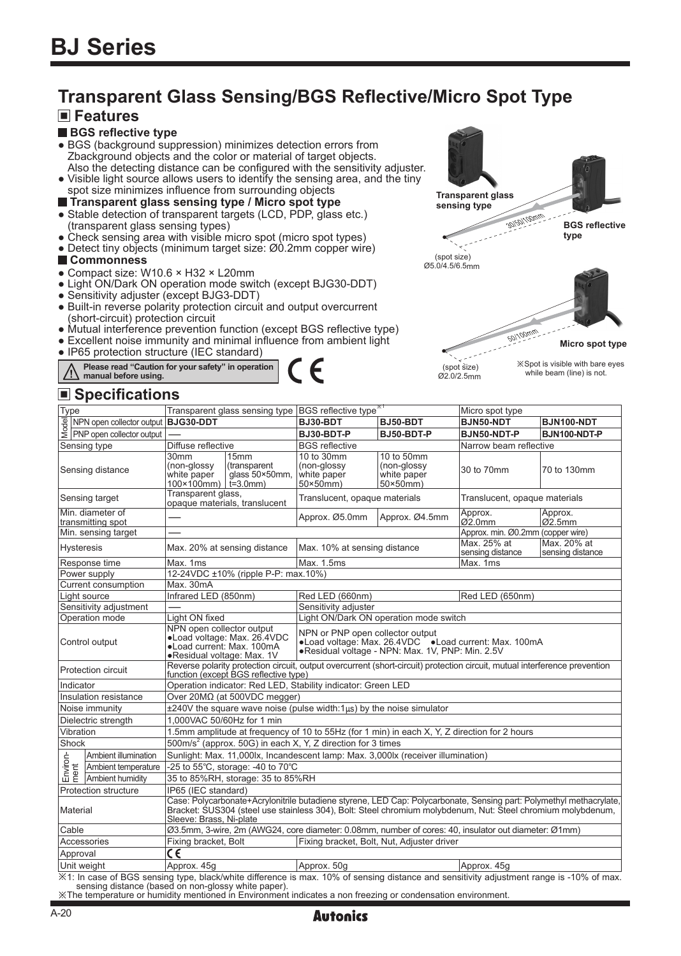# **Transparent Glass Sensing/BGS Reflective/Micro Spot Type**

F

# **Features**

#### **BGS reflective type**

- BGS (background suppression) minimizes detection errors from Zbackground objects and the color or material of target objects. Also the detecting distance can be configured with the sensitivity adjuster.
- Visible light source allows users to identify the sensing area, and the tiny spot size minimizes influence from surrounding objects

#### **Transparent glass sensing type / Micro spot type**

- Stable detection of transparent targets (LCD, PDP, glass etc.) (transparent glass sensing types)
- Check sensing area with visible micro spot (micro spot types)
- Detect tiny objects (minimum target size: Ø0.2mm copper wire)

#### **Commonness**

- Compact size: W10.6 × H32 × L20mm
- Light ON/Dark ON operation mode switch (except BJG30-DDT)
- Sensitivity adjuster (except BJG3-DDT)
- Built-in reverse polarity protection circuit and output overcurrent (short-circuit) protection circuit
- Mutual interference prevention function (except BGS reflective type)
- Excellent noise immunity and minimal influence from ambient light
- IP65 protection structure (IEC standard)

**Please read "Caution for your safety" in operation manual before using.**

### **Specifications**



 (spot size) Ø2.0/2.5mm while beam (line) is not.

| Type                                  |                                                                                                                                                                                                 | Transparent glass sensing type BGS reflective type <sup>*1</sup>                                                                                                                                                                                              |                                        |                                                                                                                                               |                                                              | Micro spot type                   |                                 |  |  |
|---------------------------------------|-------------------------------------------------------------------------------------------------------------------------------------------------------------------------------------------------|---------------------------------------------------------------------------------------------------------------------------------------------------------------------------------------------------------------------------------------------------------------|----------------------------------------|-----------------------------------------------------------------------------------------------------------------------------------------------|--------------------------------------------------------------|-----------------------------------|---------------------------------|--|--|
|                                       | NPN open collector output   BJG30-DDT                                                                                                                                                           |                                                                                                                                                                                                                                                               |                                        | BJ30-BDT                                                                                                                                      | BJ50-BDT                                                     | BJN50-NDT                         | <b>BJN100-NDT</b>               |  |  |
|                                       | $\frac{1}{8}$ NPN open collector output<br>$\frac{1}{8}$ PNP open collector output                                                                                                              |                                                                                                                                                                                                                                                               |                                        | BJ30-BDT-P                                                                                                                                    | BJ50-BDT-P                                                   | BJN50-NDT-P                       | BJN100-NDT-P                    |  |  |
| Sensing type                          |                                                                                                                                                                                                 | Diffuse reflective                                                                                                                                                                                                                                            |                                        | <b>BGS</b> reflective                                                                                                                         |                                                              | Narrow beam reflective            |                                 |  |  |
| Sensing distance                      |                                                                                                                                                                                                 | 30mm<br>(non-glossy<br>white paper<br>$100 \times 100$ mm $\mid \vec{t} = 3.0$ mm                                                                                                                                                                             | 15mm<br>(transparent<br>glass 50×50mm, | 10 to 30mm<br>(non-glossy<br>white paper<br>$50\times 50$ mm)                                                                                 | 10 to 50mm<br>(non-glossy<br>white paper<br>$50\times50$ mm) | 30 to 70mm                        | 70 to 130mm                     |  |  |
| Sensing target                        |                                                                                                                                                                                                 | Transparent glass,<br>opaque materials, translucent                                                                                                                                                                                                           |                                        | Translucent, opaque materials                                                                                                                 |                                                              | Translucent, opaque materials     |                                 |  |  |
| Min. diameter of<br>transmitting spot |                                                                                                                                                                                                 |                                                                                                                                                                                                                                                               |                                        | Approx. Ø5.0mm                                                                                                                                | Approx. Ø4.5mm                                               | Approx.<br>$Q2.0$ mm              | Approx.<br>$ 02.5$ mm           |  |  |
|                                       | Min. sensing target                                                                                                                                                                             |                                                                                                                                                                                                                                                               |                                        |                                                                                                                                               |                                                              | Approx. min. Ø0.2mm (copper wire) |                                 |  |  |
| <b>Hysteresis</b>                     |                                                                                                                                                                                                 | Max. 20% at sensing distance                                                                                                                                                                                                                                  |                                        | Max. 10% at sensing distance                                                                                                                  |                                                              | Max. 25% at<br>sensing distance   | Max. 20% at<br>sensing distance |  |  |
|                                       | Response time                                                                                                                                                                                   | Max. 1ms                                                                                                                                                                                                                                                      |                                        | Max. 1.5ms                                                                                                                                    |                                                              | Max. 1ms                          |                                 |  |  |
|                                       | Power supply                                                                                                                                                                                    | 12-24VDC ±10% (ripple P-P: max.10%)                                                                                                                                                                                                                           |                                        |                                                                                                                                               |                                                              |                                   |                                 |  |  |
| Current consumption                   |                                                                                                                                                                                                 | Max. 30mA                                                                                                                                                                                                                                                     |                                        |                                                                                                                                               |                                                              |                                   |                                 |  |  |
| Light source                          |                                                                                                                                                                                                 | Infrared LED (850nm)                                                                                                                                                                                                                                          |                                        | Red LED (660nm)                                                                                                                               |                                                              | Red LED (650nm)                   |                                 |  |  |
| Sensitivity adjustment                |                                                                                                                                                                                                 |                                                                                                                                                                                                                                                               |                                        | Sensitivity adjuster                                                                                                                          |                                                              |                                   |                                 |  |  |
| Operation mode                        |                                                                                                                                                                                                 | Light ON fixed                                                                                                                                                                                                                                                |                                        | Light ON/Dark ON operation mode switch                                                                                                        |                                                              |                                   |                                 |  |  |
| Control output                        |                                                                                                                                                                                                 | NPN open collector output<br>.Load voltage: Max. 26.4VDC<br>• Load current: Max. 100mA<br>●Residual voltage: Max. 1V                                                                                                                                          |                                        | NPN or PNP open collector output<br>•Load voltage: Max. 26.4VDC •Load current: Max. 100mA<br>.Residual voltage - NPN: Max. 1V, PNP: Min. 2.5V |                                                              |                                   |                                 |  |  |
| Protection circuit                    |                                                                                                                                                                                                 | Reverse polarity protection circuit, output overcurrent (short-circuit) protection circuit, mutual interference prevention<br>function (except BGS reflective type)                                                                                           |                                        |                                                                                                                                               |                                                              |                                   |                                 |  |  |
| Indicator                             |                                                                                                                                                                                                 | Operation indicator: Red LED, Stability indicator: Green LED                                                                                                                                                                                                  |                                        |                                                                                                                                               |                                                              |                                   |                                 |  |  |
| Insulation resistance                 |                                                                                                                                                                                                 | Over 20MΩ (at 500VDC megger)                                                                                                                                                                                                                                  |                                        |                                                                                                                                               |                                                              |                                   |                                 |  |  |
| Noise immunity                        |                                                                                                                                                                                                 | $\pm$ 240V the square wave noise (pulse width:1 $\mu$ s) by the noise simulator                                                                                                                                                                               |                                        |                                                                                                                                               |                                                              |                                   |                                 |  |  |
| Dielectric strength                   |                                                                                                                                                                                                 | 1.000VAC 50/60Hz for 1 min                                                                                                                                                                                                                                    |                                        |                                                                                                                                               |                                                              |                                   |                                 |  |  |
|                                       | Vibration                                                                                                                                                                                       | 1.5mm amplitude at frequency of 10 to 55Hz (for 1 min) in each X, Y, Z direction for 2 hours                                                                                                                                                                  |                                        |                                                                                                                                               |                                                              |                                   |                                 |  |  |
| Shock                                 |                                                                                                                                                                                                 | 500m/s <sup>2</sup> (approx. 50G) in each X, Y, Z direction for 3 times                                                                                                                                                                                       |                                        |                                                                                                                                               |                                                              |                                   |                                 |  |  |
|                                       | Ambient illumination                                                                                                                                                                            | Sunlight: Max. 11,000lx, Incandescent lamp: Max. 3,000lx (receiver illumination)                                                                                                                                                                              |                                        |                                                                                                                                               |                                                              |                                   |                                 |  |  |
| Environ-<br>ment                      | Ambient temperature                                                                                                                                                                             | -25 to $55^{\circ}$ C, storage: -40 to $70^{\circ}$ C                                                                                                                                                                                                         |                                        |                                                                                                                                               |                                                              |                                   |                                 |  |  |
|                                       | Ambient humidity                                                                                                                                                                                | 35 to 85%RH, storage: 35 to 85%RH                                                                                                                                                                                                                             |                                        |                                                                                                                                               |                                                              |                                   |                                 |  |  |
| <b>Protection structure</b>           |                                                                                                                                                                                                 | IP65 (IEC standard)                                                                                                                                                                                                                                           |                                        |                                                                                                                                               |                                                              |                                   |                                 |  |  |
| Material                              |                                                                                                                                                                                                 | Case: Polycarbonate+Acrylonitrile butadiene styrene, LED Cap: Polycarbonate, Sensing part: Polymethyl methacrylate,<br>Bracket: SUS304 (steel use stainless 304), Bolt: Steel chromium molybdenum, Nut: Steel chromium molybdenum,<br>Sleeve: Brass, Ni-plate |                                        |                                                                                                                                               |                                                              |                                   |                                 |  |  |
| Cable                                 |                                                                                                                                                                                                 | Ø3.5mm, 3-wire, 2m (AWG24, core diameter: 0.08mm, number of cores: 40, insulator out diameter: Ø1mm)                                                                                                                                                          |                                        |                                                                                                                                               |                                                              |                                   |                                 |  |  |
| Accessories                           |                                                                                                                                                                                                 | Fixing bracket, Bolt, Nut, Adjuster driver<br>Fixing bracket, Bolt                                                                                                                                                                                            |                                        |                                                                                                                                               |                                                              |                                   |                                 |  |  |
| Approval                              |                                                                                                                                                                                                 | $\overline{\epsilon}$                                                                                                                                                                                                                                         |                                        |                                                                                                                                               |                                                              |                                   |                                 |  |  |
| Unit weight                           |                                                                                                                                                                                                 | Approx. 45q                                                                                                                                                                                                                                                   |                                        | Approx. 50g                                                                                                                                   |                                                              | Approx. 45g                       |                                 |  |  |
|                                       | X1: In case of BGS sensing type, black/white difference is max. 10% of sensing distance and sensitivity adjustment range is -10% of max.<br>sensing distance (based on non-glossy white paper). |                                                                                                                                                                                                                                                               |                                        |                                                                                                                                               |                                                              |                                   |                                 |  |  |

※The temperature or humidity mentioned in Environment indicates a non freezing or condensation environment.

# Autonics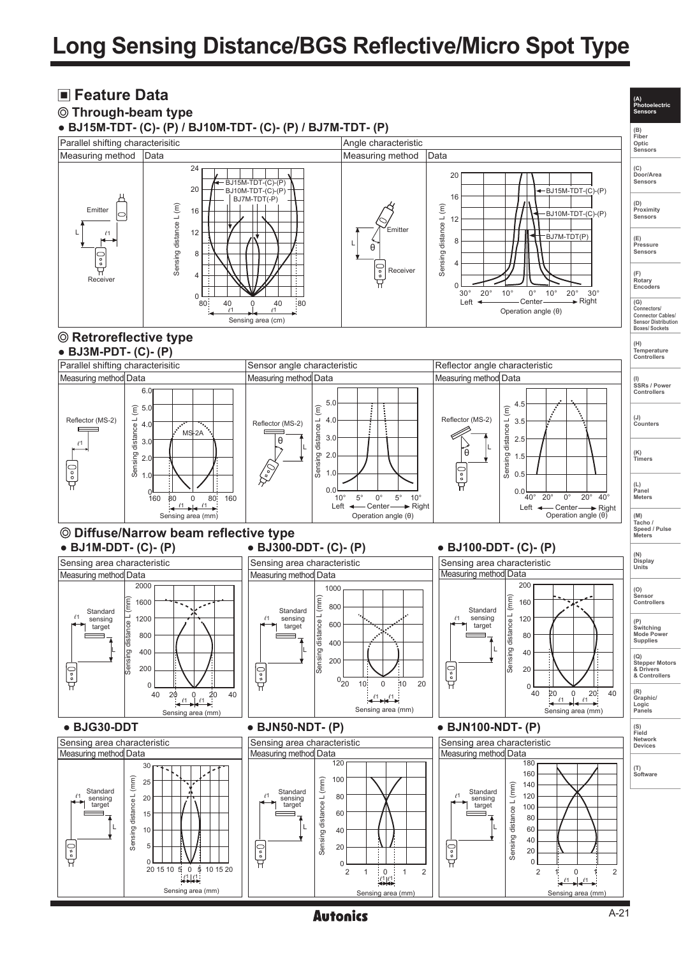# **Long Sensing Distance/BGS Reflective/Micro Spot Type**



**Autonics**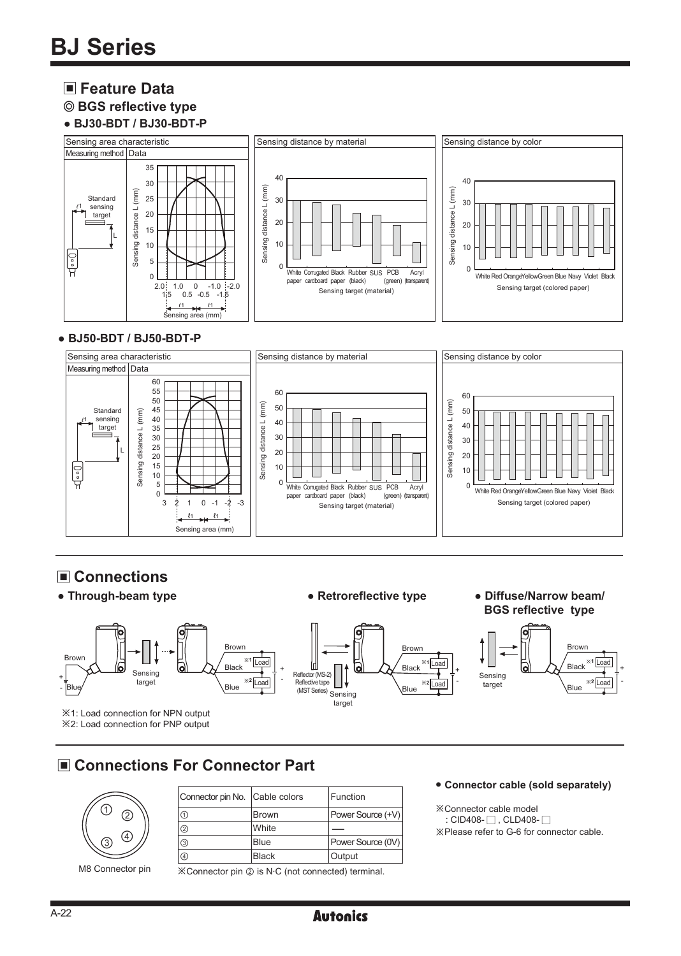### **Feature Data**



#### **● BJ30-BDT / BJ30-BDT-P**



#### **● BJ50-BDT / BJ50-BDT-P**



# **Connections**



# **Connections For Connector Part**



M8 Connector pin

| Connector pin No. Cable colors |              | Function          |
|--------------------------------|--------------|-------------------|
| $\circledcirc$                 | <b>Brown</b> | Power Source (+V) |
| ☺                              | White        |                   |
| $\circled{3}$                  | <b>Blue</b>  | Power Source (0V) |
| $\circledA$                    | <b>Black</b> | Output            |
|                                |              |                   |

※Connector pin ② is N. C (not connected) terminal.

#### ● **Connector cable (sold separately)**

※Connector cable model : CID408- $\Box$ , CLD408- $\Box$ ※Please refer to G-6 for connector cable.

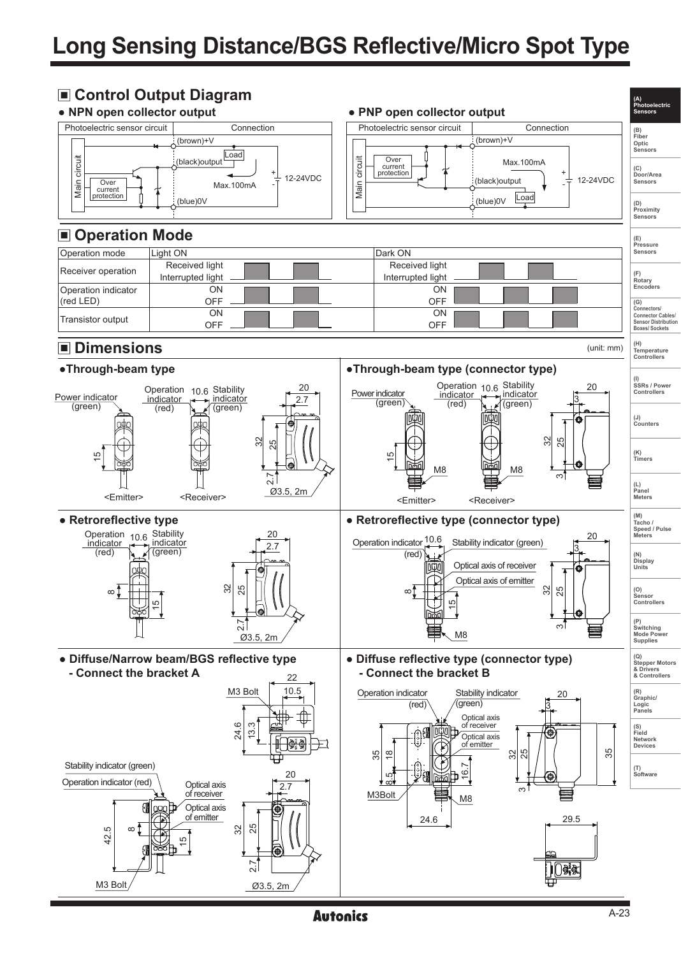# **Long Sensing Distance/BGS Reflective/Micro Spot Type**

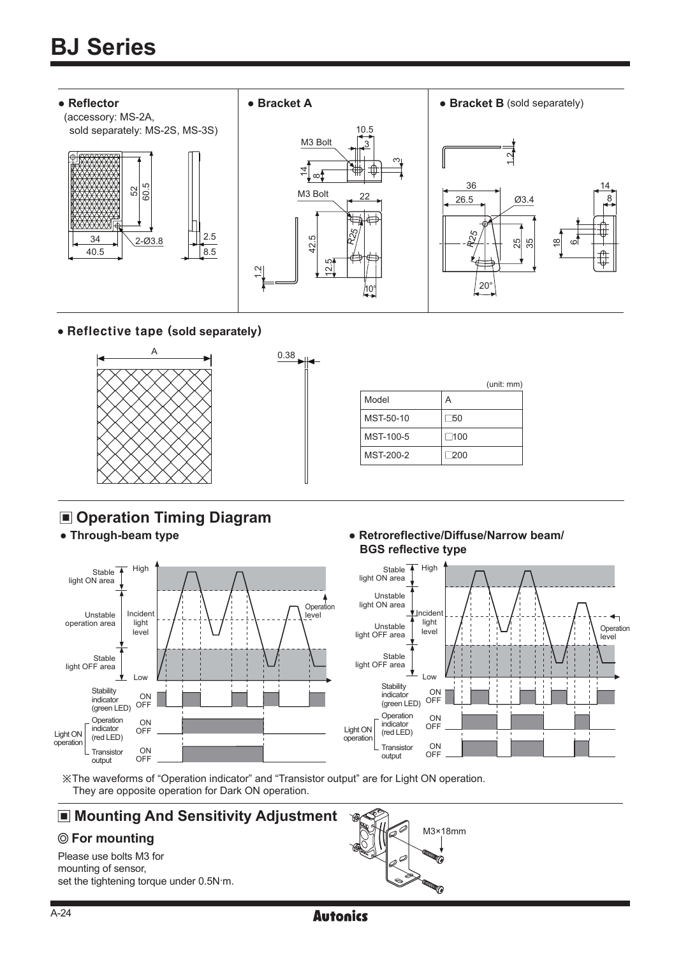

Reflective tape (**sold separately**)



- **Operation Timing Diagram**
- 



#### **● Through-beam type ● Retroreflective/Diffuse/Narrow beam/ BGS reflective type**



※The waveforms of "Operation indicator" and "Transistor output" are for Light ON operation. They are opposite operation for Dark ON operation.

# **Mounting And Sensitivity Adjustment**

Please use bolts M3 for mounting of sensor, set the tightening torque under 0.5N m.